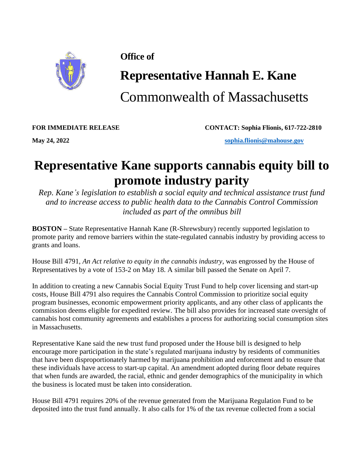

## **Office of**

## **Representative Hannah E. Kane**

Commonwealth of Massachusetts

**FOR IMMEDIATE RELEASE CONTACT: Sophia Flionis, 617-722-2810**

**May 24, 2022 [sophia.flionis@mahouse.gov](mailto:sophia.flionis@mahouse.gov)**

## **Representative Kane supports cannabis equity bill to promote industry parity**

*Rep. Kane's legislation to establish a social equity and technical assistance trust fund and to increase access to public health data to the Cannabis Control Commission included as part of the omnibus bill*

**BOSTON –** State Representative Hannah Kane (R-Shrewsbury) recently supported legislation to promote parity and remove barriers within the state-regulated cannabis industry by providing access to grants and loans.

House Bill 4791, *An Act relative to equity in the cannabis industry*, was engrossed by the House of Representatives by a vote of 153-2 on May 18. A similar bill passed the Senate on April 7.

In addition to creating a new Cannabis Social Equity Trust Fund to help cover licensing and start-up costs, House Bill 4791 also requires the Cannabis Control Commission to prioritize social equity program businesses, economic empowerment priority applicants, and any other class of applicants the commission deems eligible for expedited review. The bill also provides for increased state oversight of cannabis host community agreements and establishes a process for authorizing social consumption sites in Massachusetts.

Representative Kane said the new trust fund proposed under the House bill is designed to help encourage more participation in the state's regulated marijuana industry by residents of communities that have been disproportionately harmed by marijuana prohibition and enforcement and to ensure that these individuals have access to start-up capital. An amendment adopted during floor debate requires that when funds are awarded, the racial, ethnic and gender demographics of the municipality in which the business is located must be taken into consideration.

House Bill 4791 requires 20% of the revenue generated from the Marijuana Regulation Fund to be deposited into the trust fund annually. It also calls for 1% of the tax revenue collected from a social